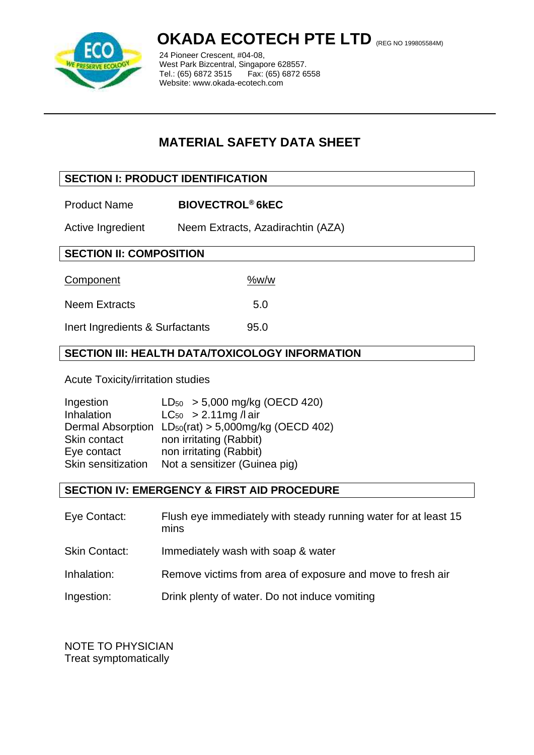

# **OKADA ECOTECH PTE LTD** (REG NO 199805584M)

24 Pioneer Crescent, #04-08, West Park Bizcentral, Singapore 628557.<br>Tel.: (65) 6872 3515 Fax: (65) 6872 6558 Tel.: (65) 6872 3515 Website: www.okada-ecotech.com

# **MATERIAL SAFETY DATA SHEET**

# **SECTION I: PRODUCT IDENTIFICATION**

Product Name **BIOVECTROL® 6kEC**

Active Ingredient Neem Extracts, Azadirachtin (AZA)

# **SECTION II: COMPOSITION**

Component %w/w

| <b>Neem Extracts</b> | 5.0 |
|----------------------|-----|
|                      |     |

Inert Ingredients & Surfactants 95.0 j

# **SECTION III: HEALTH DATA/TOXICOLOGY INFORMATION**

Acute Toxicity/irritation studies

| Ingestion          | $LD_{50}$ > 5,000 mg/kg (OECD 420)                               |
|--------------------|------------------------------------------------------------------|
| Inhalation         | $LC_{50} > 2.11$ mg / l air                                      |
|                    | Dermal Absorption LD <sub>50</sub> (rat) > 5,000mg/kg (OECD 402) |
| Skin contact       | non irritating (Rabbit)                                          |
| Eye contact        | non irritating (Rabbit)                                          |
| Skin sensitization | Not a sensitizer (Guinea pig)                                    |

# **SECTION IV: EMERGENCY & FIRST AID PROCEDURE**

Eye Contact: Flush eye immediately with steady running water for at least 15 mins Skin Contact: Immediately wash with soap & water Inhalation: Remove victims from area of exposure and move to fresh air Ingestion: Drink plenty of water. Do not induce vomiting

NOTE TO PHYSICIAN Treat symptomatically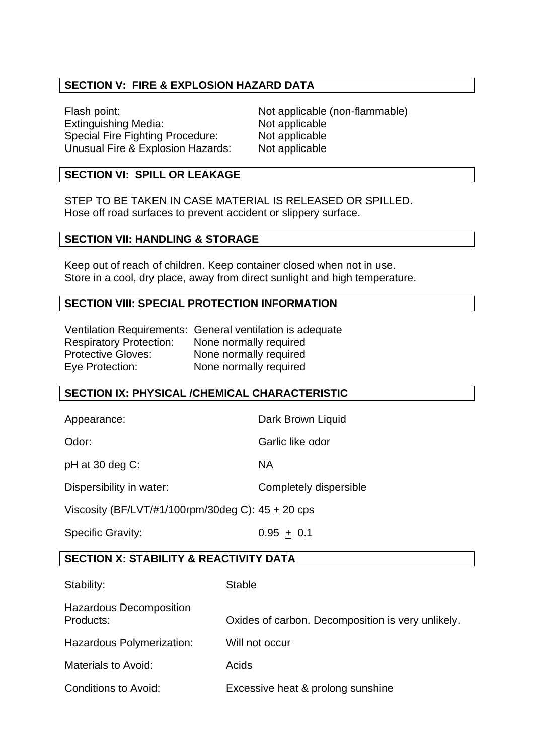# **SECTION V: FIRE & EXPLOSION HAZARD DATA**

Flash point: Not applicable (non-flammable) Extinguishing Media: Not applicable Special Fire Fighting Procedure: Not applicable Unusual Fire & Explosion Hazards: Not applicable

#### **SECTION VI: SPILL OR LEAKAGE**

STEP TO BE TAKEN IN CASE MATERIAL IS RELEASED OR SPILLED. Hose off road surfaces to prevent accident or slippery surface.

#### **SECTION VII: HANDLING & STORAGE**

Keep out of reach of children. Keep container closed when not in use. Store in a cool, dry place, away from direct sunlight and high temperature.

#### **SECTION VIII: SPECIAL PROTECTION INFORMATION**

Ventilation Requirements: General ventilation is adequate Respiratory Protection: None normally required Protective Gloves: None normally required Eye Protection: None normally required

#### **SECTION IX: PHYSICAL /CHEMICAL CHARACTERISTIC**

Appearance: Dark Brown Liquid

Odor: Carlic like odor

pH at 30 deg C: NA

Dispersibility in water: Completely dispersible

Viscosity (BF/LVT/#1/100rpm/30deg C): 45 + 20 cps

Specific Gravity:  $0.95 \pm 0.1$ 

#### **SECTION X: STABILITY & REACTIVITY DATA**

| Stability:                                  | <b>Stable</b>                                     |
|---------------------------------------------|---------------------------------------------------|
| <b>Hazardous Decomposition</b><br>Products: | Oxides of carbon. Decomposition is very unlikely. |
| Hazardous Polymerization:                   | Will not occur                                    |
| Materials to Avoid:                         | Acids                                             |
| <b>Conditions to Avoid:</b>                 | Excessive heat & prolong sunshine                 |